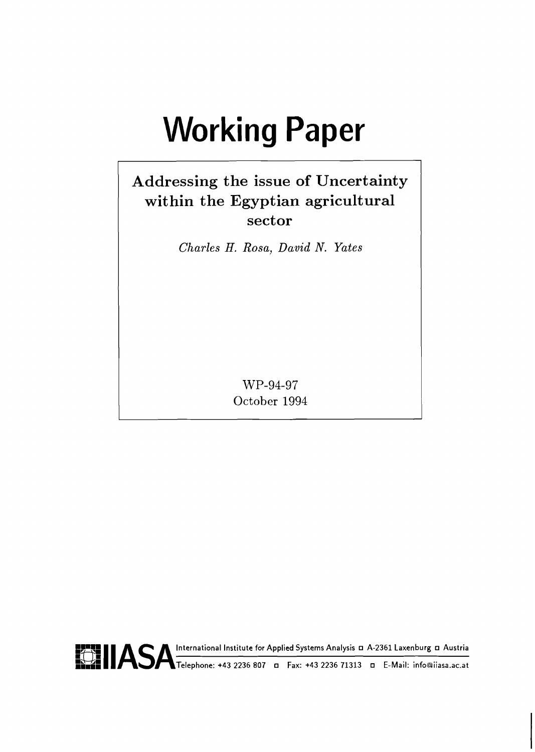# **Working Paper**

# **Addressing the issue of Uncertainty within the Egyptian agricultural sector**

*Charles* **H.** *Rosa, David N. Yates* 

**WP-94-97**  October **1994** 

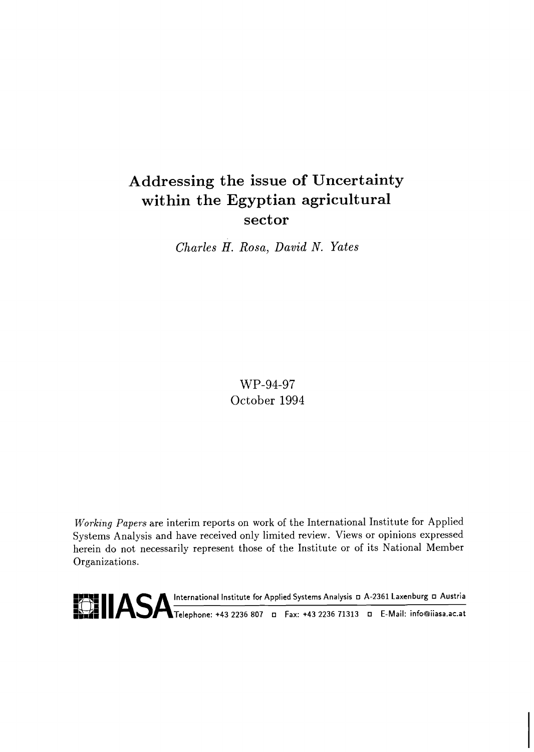# Addressing the issue of Uncertainty within the Egyptian agricultural sector

*Charles H. Rosa, David N. Yates* 

WP-94-97 October 1994

Working Papers are interim reports on work of the International Institute for Applied Systems Analysis and have received only limited review. Views or opinions expressed herein do not necessarily represent those of the Institute or of its National Member Organizations.

**FFLLIASA** International Institute for Applied Systems Analysis **D A-2361 Laxenburg D Austria**<br>
Telephone: +43 2236 807 **D** Fax: +43 2236 71313 **D** E-Mail: info@iiasa.ac.at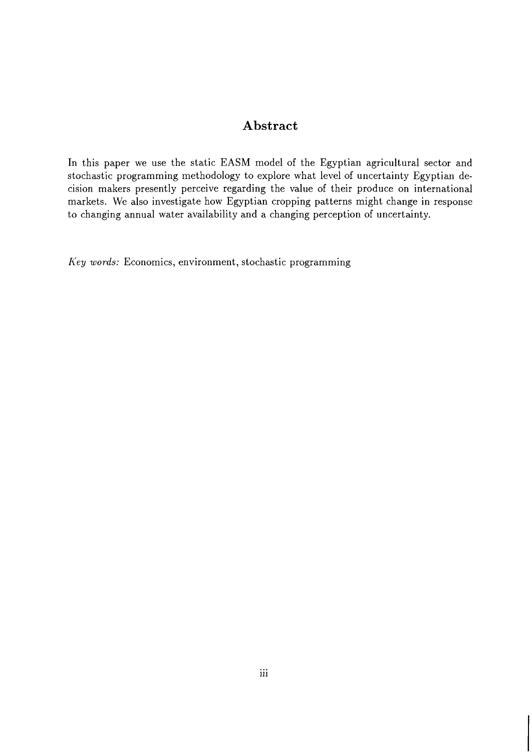#### **Abstract**

In this paper we use the static EASM model of the Egyptian agricultural sector and stochastic programming methodology to explore what level of uncertainty Egyptian decision makers presently perceive regarding the value of their produce on international markets. We also investigate how Egyptian cropping patterns might change in response to changing annual water availability and a changing perception of uncertainty.

Key **words:** Economics, environment, stochastic programming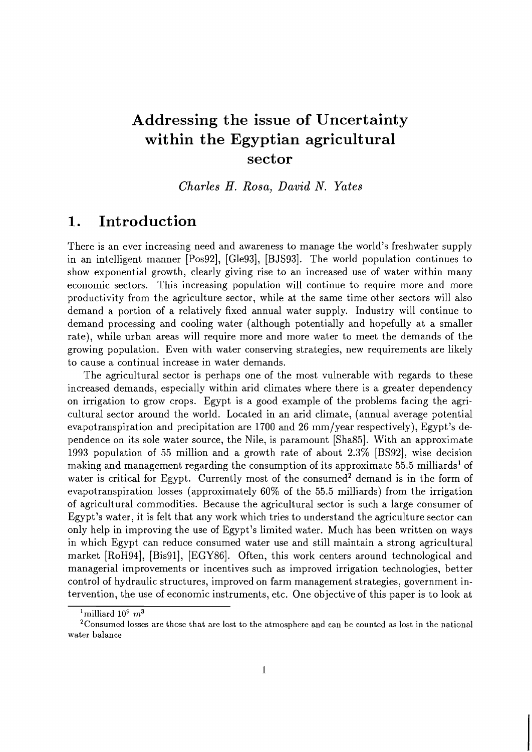# Addressing the issue of Uncertainty within the Egyptian agricultural sector

*Charles H. Rosa, David N. Yates* 

## 1. Introduction

There is an ever increasing need and awareness to manage the world's freshwater supply in an intelligent manner [Pos92], [Gle93], [BJS93]. The world population continues to show exponential growth, clearly giving rise to an increased use of water within many economic sectors. This increasing population will continue to require more and more productivity from the agriculture sector, while at the same time other sectors will also demand a portion of a relatively fixed annual water supply. Industry will continue to demand processing and cooling water (although potentially and hopefully at a smaller rate), while urban areas will require more and more water to meet the demands of the growing population. Even with water conserving strategies, new requirements are likely to cause a continual increase in water demands.

The agricultural sector is perhaps one of the most vulnerable with regards to these increased demands, especially within arid climates where there is a greater dependency on irrigation to grow crops. Egypt is a good example of the problems facing the agricultural sector around the world. Located in an arid climate, (annual average potential evapotranspiration and precipitation are 1700 and 26 mm/year respectively), Egypt's dependence on its sole water source, the Nile, is paramount [Sha85]. With an approximate 1993 population of 55 million and a growth rate of about 2.3% [BS92], wise decision making and management regarding the consumption of its approximate  $55.5$  milliards<sup>1</sup> of water is critical for Egypt. Currently most of the consumed<sup>2</sup> demand is in the form of evapotranspiration losses (approximately 60% of the 55.5 milliards) from the irrigation of agricultural commodities. Because the agricultural sector is such a large consumer of Egypt's water, it is felt that any work which tries to understand the agriculture sector can only help in improving the use of Egypt's limited water. Much has been written on ways in which Egypt can reduce consumed water use and still maintain a strong agricultural market [RoH94], [Bis91], [EGY86]. Often, this work centers around technological and managerial improvements or incentives such as improved irrigation technologies, better control of hydraulic structures, improved on farm management strategies, government intervention, the use of economic instruments, etc. One objective of this paper is to look at

 $1$ milliard  $10^9$   $m^3$ 

<sup>&#</sup>x27;Consumed losses are those that are lost to the atmosphere and can be counted as lost in the national water balance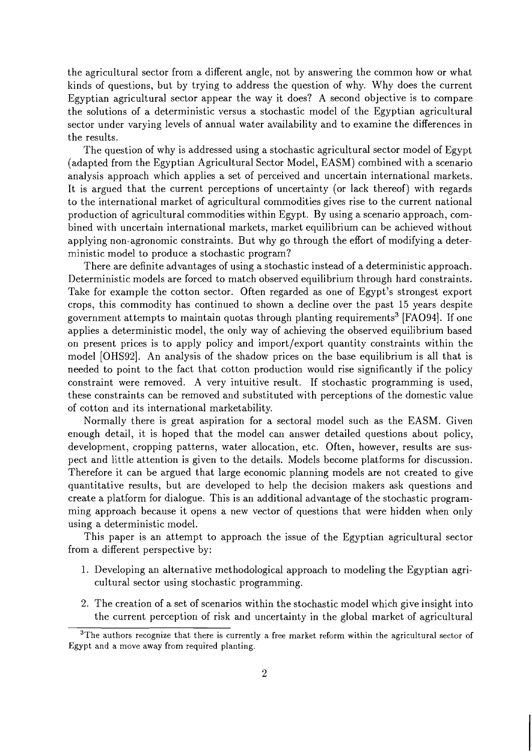the agricultural sector from a different angle, not by answering the common how or what kinds of questions, but by trying to address the question of why. Why does the current Egyptian agricultural sector appear the way it does? A second objective is to compare the solutions of a deterministic versus a stochastic model of the Egyptian agricultural sector under varying levels of annual water availability and to examine the differences in the results.

The question of why is addressed using a stochastic agricultural sector model of Egypt (adapted from the Egyptian Agricultural Sector Model, EASM) combined with a scenario analysis approach which applies a set of perceived and uncertain international markets. It is argued that the current perceptions of uncertainty (or lack thereof) with regards to the international market of agricultural commodities gives rise to the current national production of agricultural commodities within Egypt. By using a scenario approach, combined with uncertain international markets, market equilibrium can be achieved without applying non-agronomic constraints. But why go through the effort of modifying a deterministic model to produce a stochastic program?

There are definite advantages of using a stochastic instead of a deterministic approach. Deterministic models are forced to match observed equilibrium through hard constraints. Take for example the cotton sector. Often regarded as one of Egypt's strongest export crops, this commodity has continued to shown a decline over the past 15 years despite government attempts to maintain quotas through planting requirements<sup>3</sup> [FAO94]. If one applies a deterministic model, the only way of achieving the observed equilibrium based on present prices is to apply policy and import/export quantity constraints within the model [OHS92]. An analysis of the shadow prices on the base equilibrium is all that is needed to point to the fact that cotton production would rise significantly if the policy constraint were removed. A very intuitive result. If stochastic programming is used, these constraints can be removed and substituted with perceptions of the domestic value of cotton and its international marketability.

Normally there is great aspiration for a sectoral model such as the EASM. Given enough detail, it is hoped that the model can answer detailed questions about policy, development, cropping patterns, water allocation, etc. Often, however, results are suspect and little attention is given to the details. Models become platforms for discussion. Therefore it can be argued that large economic planning models are not created to give quantitative results, but are developed to help the decision makers ask questions and create a platform for dialogue. This is an additional advantage of the stochastic programming approach because it opens a new vector of questions that were hidden when only using a deterministic model.

This paper is an attempt to approach the issue of the Egyptian agricultural sector from a different perspective by:

- 1. Developing an alternative methodological approach to modeling the Egyptian agricultural sector using stochastic programming.
- 2. The creation of a set of scenarios within the stochastic model which give insight into the current perception of risk and uncertainty in the global market of agricultural

<sup>&</sup>lt;sup>3</sup>The authors recognize that there is currently a free market reform within the agricultural sector of Egypt and a move away from required planting.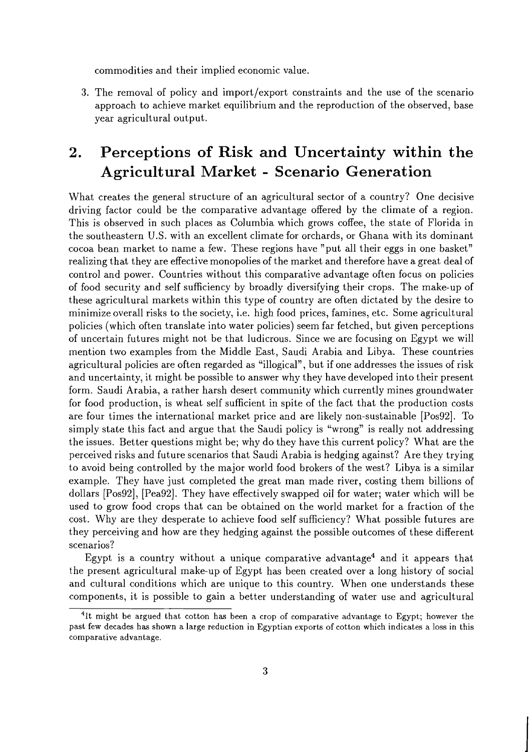commodities and their implied economic value.

**3.** The removal of policy and import/export constraints and the use of the scenario approach to achieve market equilibrium and the reproduction of the observed, base year agricultural output.

#### $2.$ Perceptions of Risk and Uncertainty within the Agricultural Market - Scenario Generation

What creates the general structure of an agricultural sector of a country? One decisive driving factor could be the comparative advantage offered by the climate of a region. This is observed in such places as Columbia which grows coffee, the state of Florida in the southeastern U.S. with an excellent climate for orchards, or Ghana with its dominant cocoa bean market to name a few. These regions have "put all their eggs in one basket" realizing that they are effective monopolies of the market and therefore have a great deal of control and power. Countries without this comparative advantage often focus on policies of food security and self sufficiency by broadly diversifying their crops. The make-up of these agricultural markets within this type of country are often dictated by the desire to minimize overall risks to the society, i.e. high food prices, famines, etc. Some agricultural policies (which often translate into water policies) seem far fetched, but given perceptions of uncertain futures might not be that ludicrous. Since we are focusing on Egypt we will mention two examples from the Middle East, Saudi Arabia and Libya. These countries agricultural policies are often regarded as "illogical", but if one addresses the issues of risk and uncertainty, it might be possible to answer why they have developed into their present form. Saudi Arabia, a rather harsh desert community which currently mines groundwater for food production, is wheat self sufficient in spite of the fact that the production costs are four times the international market price and are likely non-sustainable [Pos92]. To simply state this fact and argue that the Saudi policy is "wrong" is really not addressing the issues. Better questions might be; why do they have this current policy? What are the perceived risks and future scenarios that Saudi Arabia is hedging against? Are they trying to avoid being controlled by the major world food brokers of the west? Libya is a similar example. They have just completed the great man made river, costing them billions of dollars [Pos92], [Pea92]. They have effectively swapped oil for water; water which will be used to grow food crops that can be obtained on the world market for a fraction of the cost. Why are they desperate to achieve food self sufficiency? What possible futures are they perceiving and how are they hedging against the possible outcomes of these different scenarios?

Egypt is a country without a unique comparative advantage<sup>4</sup> and it appears that the present agricultural make-up of Egypt has been created over a long history of social and cultural conditions which are unique to this country. When one understands these components, it is possible to gain a better understanding of water use and agricultural

<sup>&</sup>lt;sup>4</sup>It might be argued that cotton has been a crop of comparative advantage to Egypt; however the past few decades has shown a large reduction in Egyptian exports of cotton which indicates a loss in this comparative advantage.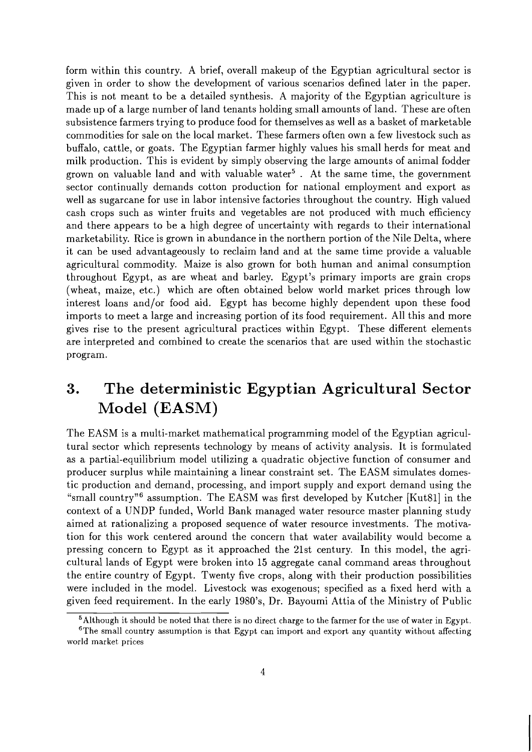form within this country. A brief, overall makeup of the Egyptian agricultural sector is given in order to show the development of various scenarios defined later in the paper. This is not meant to be a detailed synthesis. A majority of the Egyptian agriculture is made up of a large number of land tenants holding small amounts of land. These are often subsistence farmers trying to produce food for themselves as well as a basket of marketable commodities for sale on the local market. These farmers often own a few livestock such as buffalo, cattle, or goats. The Egyptian farmer highly values his small herds for meat and milk production. This is evident by simply observing the large amounts of animal fodder grown on valuable land and with valuable water<sup>5</sup>. At the same time, the government sector continually demands cotton production for national employment and export as well as sugarcane for use in labor intensive factories throughout the country. High valued cash crops such as winter fruits and vegetables are not produced with much efficiency and there appears to be a high degree of uncertainty with regards to their international marketability. Rice is grown in abundance in the northern portion of the Nile Delta, where it can be used advantageously to reclaim land and at the same time provide a valuable agricultural commodity. Maize is also grown for both human and animal consumption throughout Egypt, as are wheat and barley. Egypt's primary imports are grain crops (wheat, maize, etc.) which are often obtained below world market prices through low interest loans and/or food aid. Egypt has become highly dependent upon these food imports to meet a large and increasing portion of its food requirement. All this and more gives rise to the present agricultural practices within Egypt. These different elements are interpreted and combined to create the scenarios that are used within the stochastic program.

# **3.** The deterministic Egyptian Agricultural Sector Model (EASM)

The EASM is a multi-market mathematical programming model of the Egyptian agricultural sector which represents technology by means of activity analysis. It is formulated as a partial-equilibrium model utilizing a quadratic objective function of consumer and producer surplus while maintaining a linear constraint set. The EASM simulates domestic production and demand, processing, and import supply and export demand using the "small country"<sup>6</sup> assumption. The EASM was first developed by Kutcher [Kut81] in the context of a UNDP funded, World Bank managed water resource master planning study aimed at rationalizing a proposed sequence of water resource investments. The motivation for this work centered around the concern that water availability would become a pressing concern to Egypt as it approached the 21st century. In this model, the agricultural lands of Egypt were broken into 15 aggregate canal command areas throughout the entire country of Egypt. Twenty five crops, along with their production possibilities were included in the model. Livestock was exogenous; specified as a fixed herd with a given feed requirement. In the early 1980's, Dr. Bayoumi Attia of the Ministry of Public

<sup>&</sup>lt;sup>5</sup> Although it should be noted that there is no direct charge to the farmer for the use of water in Egypt.

<sup>&</sup>lt;sup>6</sup>The small country assumption is that Egypt can import and export any quantity without affecting world market prices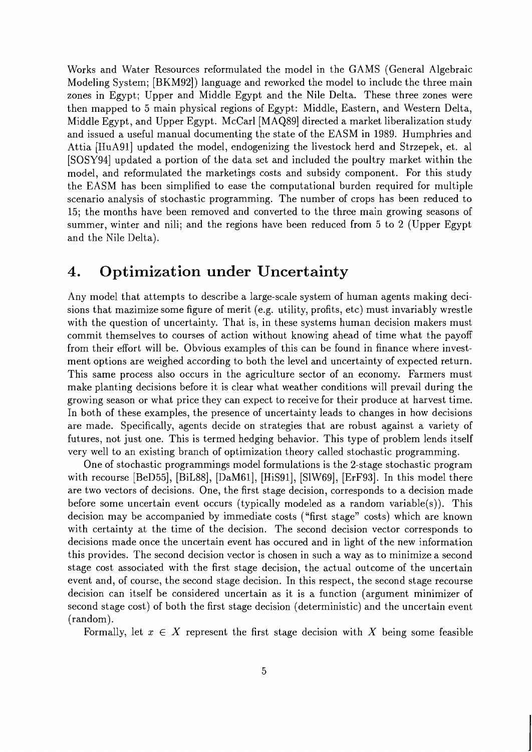Works and Water Resources reformulated the model in the GAMS (General Algebraic Modeling System; [BKM92]) language and reworked the model to include the three main zones in Egypt; Upper and Middle Egypt and the Nile Delta. These three zones were then mapped to 5 main physical regions of Egypt: Middle, Eastern, and Western Delta, Middle Egypt, and Upper Egypt. McCarl [MAQ89] directed a market liberalization study and issued a useful manual documenting the state of the EASM in 1989. Humphries and Attia [HuA91] updated the model, endogenizing the livestock herd and Strzepek, et. al [SOSY94] updated a portion of the data set and included the poultry market within the model, and reformulated the marketings costs and subsidy component. For this study the EASM has been simplified to ease the computational burden required for multiple scenario analysis of stochastic programming. The number of crops has been reduced to 15; the months have been removed and converted to the three main growing seasons of summer, winter and nili; and the regions have been reduced from 5 to 2 (Upper Egypt and the Nile Delta).

# **4. Optimization under Uncertainty**

Any model that attempts to describe a large-scale system of human agents making decisions that mazimize some figure of merit (e.g. utility, profits, etc) must invariably wrestle with the question of uncertainty. That is, in these systems human decision makers must commit themselves to courses of action without knowing ahead of time what the payoff from their effort will be. Obvious examples of this can be found in finance where investment options are weighed according to both the level and uncertainty of expected return. This same process also occurs in the agriculture sector of an economy. Farmers must make planting decisions before it is clear what weather conditions will prevail during the growing season or what price they can expect to receive for their produce at harvest time. In both of these examples, the presence of uncertainty leads to changes in how decisions are made. Specifically, agents decide on strategies that are robust against a variety of futures, not just one. This is termed hedging behavior. This type of problem lends itself very well to an existing branch of optimization theory called stochastic programming.

One of stochastic programmings model formulations is the 2-stage stochastic program with recourse [BeD55], [BiL88], [DaM61], [HiS91], [SlW69], [ErF93]. In this model there are two vectors of decisions. One, the first stage decision, corresponds to a decision made before some uncertain event occurs (typically modeled as a random variable(s)). This decision may be accompanied by immediate costs ("first stage" costs) which are known with certainty at the time of the decision. The second decision vector corresponds to decisions made once the uncertain event has occured and in light of the new information this provides. The second decision vector is chosen in such a way as to minimize a second stage cost associated with the first stage decision, the actual outcome of the uncertain event and, of course, the second stage decision. In this respect, the second stage recourse decision can itself be considered uncertain as it is a function (argument minimizer of second stage cost) of both the first stage decision (deterministic) and the uncertain event (random).

Formally, let  $x \in X$  represent the first stage decision with X being some feasible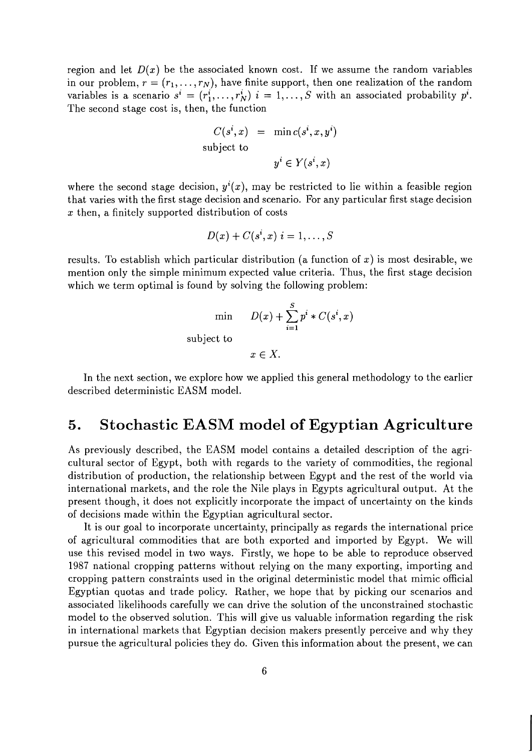region and let  $D(x)$  be the associated known cost. If we assume the random variables in our problem,  $r = (r_1, \ldots, r_N)$ , have finite support, then one realization of the random variables is a scenario  $s^i = (r_1^i, \ldots, r_N^i)$   $i = 1, \ldots, S$  with an associated probability  $p^i$ . The second stage cost is, then, the function

$$
C(si, x) = \min c(si, x, yi)
$$
  
subject to  

$$
yi \in Y(si, x)
$$

where the second stage decision,  $y^{i}(x)$ , may be restricted to lie within a feasible region that varies with the first stage decision and scenario. For any particular first stage decision  $x$  then, a finitely supported distribution of costs

$$
D(x) + C(s^i, x) \quad i = 1, \ldots, S
$$

results. To establish which particular distribution (a function of x) is most desirable, we mention only the simple minimum expected value criteria. Thus, the first stage decision which we term optimal is found by solving the following problem:

$$
\min \qquad D(x) + \sum_{i=1}^{S} p^i * C(s^i, x)
$$
\n
$$
\text{subject to}
$$
\n
$$
x \in X.
$$

In the next section, we explore how we applied this general methodology to the earlier described deterministic EASM model.

### **5. Stochastic EASM model of Egyptian Agriculture**

As previously described, the EASM model contains a detailed description of the agricultural sector of Egypt, both with regards to the variety of commodities, the regional distribution of production, the relationship between Egypt and the rest of the world via international markets, and the role the Nile plays in Egypts agricultural output. At the present though, it does not explicitly incorporate the impact of uncertainty on the kinds of decisions made within the Egyptian agricultural sector.

It is our goal to incorporate uncertainty, principally as regards the international price of agricultural commodities that are both exported and imported by Egypt. We will use this revised model in two ways. Firstly, we hope to be able to reproduce observed 1987 national cropping patterns without relying on the many exporting, importing and cropping pattern constraints used in the original deterministic model that mimic official Egyptian quotas and trade policy. Rather, we hope that by picking our scenarios and associated likelihoods carefully we can drive the solution of the unconstrained stochastic model to the observed solution. This will give us valuable information regarding the risk in international markets that Egyptian decision makers presently perceive and why they pursue the agricultural policies they do. Given this information about the present, we can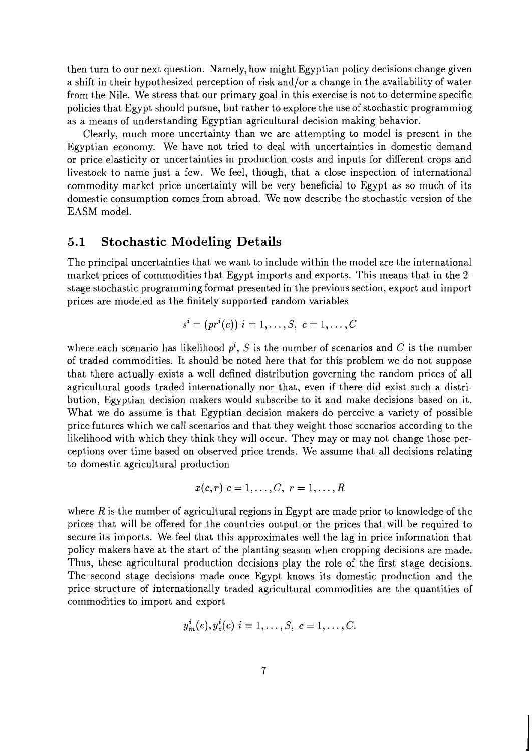then turn to our next question. Namely, how might Egyptian policy decisions change given a shift in their hypothesized perception of risk and/or a change in the availability of water from the Nile. We stress that our primary goal in this exercise is not to determine specific policies that Egypt should pursue, but rather to explore the use of stochastic programming as a means of understanding Egyptian agricultural decision making behavior.

Clearly, much more uncertainty than we are attempting to model is present in the Egyptian economy. We have not tried to deal with uncertainties in domestic demand or price elasticity or uncertainties in production costs and inputs for different crops and livestock to name just a few. We feel, though, that a close inspection of international commodity market price uncertainty will be very beneficial to Egypt as so much of its domestic consumption comes from abroad. We now describe the stochastic version of the EASM model.

#### **5.1 Stochastic Modeling Details**

The principal uncertainties that we want to include within the model are the international market prices of commodities that Egypt imports and exports. This means that in the 2 stage stochastic programming format presented in the previous section, export and import prices are modeled as the finitely supported random variables

$$
s^{i} = (pr^{i}(c)) i = 1, \ldots, S, c = 1, \ldots, C
$$

where each scenario has likelihood  $p^i$ , S is the number of scenarios and C is the number of traded commodities. It should be noted here that for this problem we do not suppose that there actually exists a well defined distribution governing the random prices of all agricultural goods traded internationally nor that, even if there did exist such a distribution, Egyptian decision makers would subscribe to it and make decisions based on it. What we do assume is that Egyptian decision makers do perceive a variety of possible price futures which we call scenarios and that they weight those scenarios according to the likelihood with which they think they will occur. They may or may not change those perceptions over time based on observed price trends. We assume that all decisions relating to domestic agricultural production

$$
x(c,r) \ c=1,\ldots,C, \ r=1,\ldots,R
$$

where  $R$  is the number of agricultural regions in Egypt are made prior to knowledge of the prices that will be offered for the countries output or the prices that will be required to secure its imports. We feel that this approximates well the lag in price information that policy makers have at the start of the planting season when cropping decisions are made. Thus, these agricultural production decisions play the role of the first stage decisions. The second stage decisions made once Egypt knows its domestic production and the price structure of internationally traded agricultural commodities are the quantities of commodities to import and export

$$
y_m^i(c), y_e^i(c)
$$
  $i = 1, ..., S, c = 1, ..., C$ .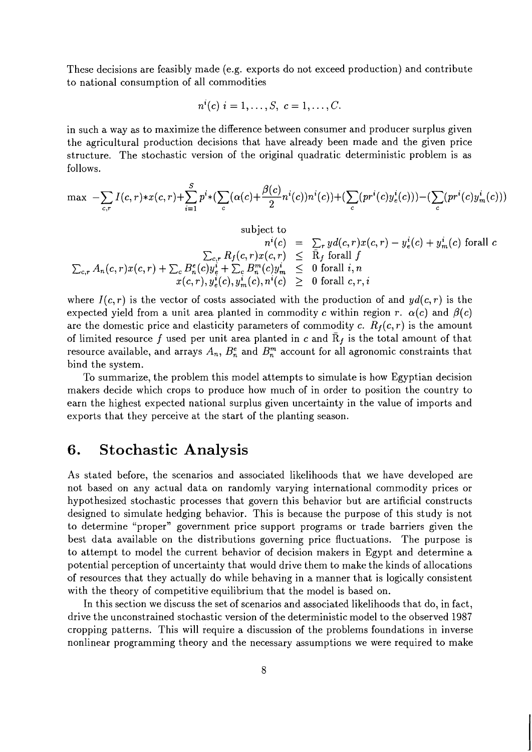These decisions are feasibly made (e.g. exports do not exceed production) and contribute to national consumption of all commodities

$$
n^i(c)
$$
  $i = 1, ..., S, c = 1, ..., C.$ 

in such a way as to maximize the difference between consumer and producer surplus given the agricultural production decisions that have already been made and the given price structure. The stochastic version of the original quadratic deterministic problem is as follows.

$$
\max \ -\sum_{c,r} I(c,r) * x(c,r) + \sum_{i=1}^{S} p^i * (\sum_c (\alpha(c) + \frac{\beta(c)}{2}n^i(c))n^i(c)) + (\sum_c (pr^i(c)y^i_c(c))) - (\sum_c (pr^i(c)y^i_m(c)))
$$

subject to  
\n
$$
n^{i}(c) = \sum_{r} yd(c,r)x(c,r) - y_{e}^{i}(c) + y_{m}^{i}(c)
$$
 for all  $c$   
\n
$$
\sum_{c,r} R_{f}(c,r)x(c,r) \leq \overline{R}_{f}
$$
 for all  $f$   
\n
$$
\sum_{c,r} A_{n}(c,r)x(c,r) + \sum_{c} B_{n}^{e}(c)y_{e}^{i} + \sum_{c} B_{n}^{m}(c)y_{m}^{i} \leq 0
$$
 for all  $i, n$   
\n $x(c,r), y_{e}^{i}(c), y_{m}^{i}(c), n^{i}(c) \geq 0$  for all  $c, r, i$ 

where  $I(c, r)$  is the vector of costs associated with the production of and  $yd(c, r)$  is the expected yield from a unit area planted in commodity c within region r.  $\alpha(c)$  and  $\beta(c)$ are the domestic price and elasticity parameters of commodity c.  $R_f(c, r)$  is the amount of limited resource f used per unit area planted in c and  $\overline{R}_f$  is the total amount of that resource available, and arrays  $A_n$ ,  $B_n^e$  and  $B_n^m$  account for all agronomic constraints that bind the system.

To summarize, the problem this model attempts to simulate is how Egyptian decision makers decide which crops to produce how much of in order to position the country to earn the highest expected national surplus given uncertainty in the value of imports and exports that they perceive at the start of the planting season.

## **6. Stochastic Analysis**

As stated before, the scenarios and associated likelihoods that we have developed are not based on any actual data on randomly varying international commodity prices or hypothesized stochastic processes that govern this behavior but are artificial constructs designed to simulate hedging behavior. This is because the purpose of this study is not to determine "proper" government price support programs or trade barriers given the best data available on the distributions governing price fluctuations. The purpose is to attempt to model the current behavior of decision makers in Egypt and determine a potential perception of uncertainty that would drive them to make the kinds of allocations of resources that they actually do while behaving in a manner that is logically consistent with the theory of competitive equilibrium that the model is based on.

In this section we discuss the set of scenarios and associated likelihoods that do, in fact, drive the unconstrained stochastic version of the deterministic model to the observed 1987 cropping patterns. This will require a discussion of the problems foundations in inverse nonlinear programming theory and the necessary assumptions we were required to make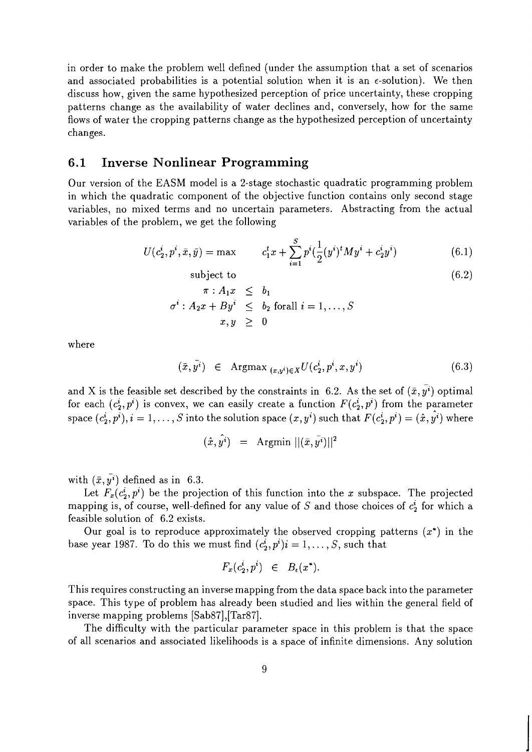in order to make the problem well defined (under the assumption that a set of scenarios and associated probabilities is a potential solution when it is an  $\epsilon$ -solution). We then discuss how, given the same hypothesized perception of price uncertainty, these cropping patterns change as the availability of water declines and, conversely, how for the same flows of water the cropping patterns change as the hypothesized perception of uncertainty changes.

#### **6.1 Inverse Nonlinear Programming**

Our version of the EASM model is a 2-stage stochastic quadratic programming problem in which the quadratic component of the objective function contains only second stage variables, no mixed terms and no uncertain parameters. Abstracting from the actual variables of the problem, we get the following

$$
U(c_2^i, p^i, \bar{x}, \bar{y}) = \max \qquad c_1^t x + \sum_{i=1}^S p^i(\frac{1}{2}(y^i)^t M y^i + c_2^i y^i) \tag{6.1}
$$

$$
subject to \t(6.2)
$$

$$
\begin{array}{rcl}\n\pi: A_1 x & \leq & b_1 \\
\sigma^i: A_2 x + B y^i & \leq & b_2 \text{ for all } i = 1, \dots, S \\
x, y & \geq & 0\n\end{array}
$$

where

$$
(\bar{x}, y^i) \in \text{Argmax}_{(x, y^i) \in X} U(c_2^i, p^i, x, y^i) \tag{6.3}
$$

and X is the feasible set described by the constraints in 6.2. As the set of  $(\bar{x}, \bar{y}^i)$  optimal for each  $(c_2^i, p^i)$  is convex, we can easily create a function  $F(c_2^i, p^i)$  from the parameter space  $(c_2^i, p^i), i = 1, \ldots, S$  into the solution space  $(x, y^i)$  such that  $F(c_2^i, p^i) = (\hat{x}, \hat{y^i})$  where

$$
(\hat{x}, \hat{y^i}) = \text{Argmin } ||(\bar{x}, \bar{y^i})||^2
$$

with  $(\bar{x}, y^i)$  defined as in 6.3.<br>Let  $F_x(c^i, p^i)$  be the projection of this function into the x subspace. The projected mapping is, of course, well-defined for any value of S and those choices of  $c_2^i$  for which a feasible solution of 6.2 exists.

Our goal is to reproduce approximately the observed cropping patterns  $(x^*)$  in the base year 1987. To do this we must find  $(c_2^i, p^i)$  $i = 1, ..., S$ , such that

$$
F_x(c_2^*, p^*) \in B_{\epsilon}(x^*).
$$

This requires constructing an inverse mapping from the data space back into the parameter space. This type of problem has already been studied and lies within the general field of inverse mapping problems [Sab87] ,[Tar87].

The difficulty with the particular parameter space in this problem is that the space of all scenarios and associated likelihoods is a space of infinite dimensions. Any solution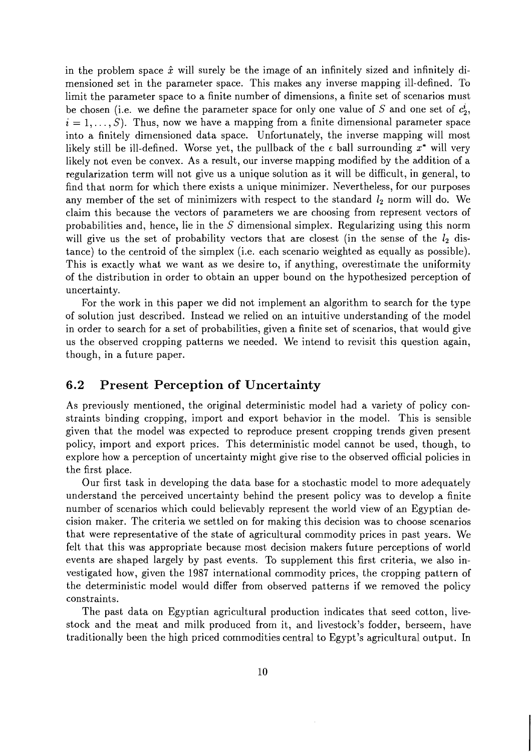in the problem space **i** will surely be the image of an infinitely sized and infinitely dimensioned set in the parameter space. This makes any inverse mapping ill-defined. To limit the parameter space to a finite number of dimensions, a finite set of scenarios must be chosen (i.e. we define the parameter space for only one value of S and one set of  $c_2^i$ ,  $i = 1, \ldots, S$ . Thus, now we have a mapping from a finite dimensional parameter space into a finitely dimensioned data space. Unfortunately, the inverse mapping will most likely still be ill-defined. Worse yet, the pullback of the  $\epsilon$  ball surrounding  $x^*$  will very likely not even be convex. As a result, our inverse mapping modified by the addition of a regularization term will not give us a unique solution as it will be difficult, in general, to find that norm for which there exists a unique minimizer. Nevertheless, for our purposes any member of the set of minimizers with respect to the standard  $l_2$  norm will do. We claim this because the vectors of parameters we are choosing from represent vectors of probabilities and, hence, lie in the  $S$  dimensional simplex. Regularizing using this norm will give us the set of probability vectors that are closest (in the sense of the  $l_2$  distance) to the centroid of the simplex (i.e. each scenario weighted as equally as possible). This is exactly what we want as we desire to, if anything, overestimate the uniformity of the distribution in order to obtain an upper bound on the hypothesized perception of uncertainty.

For the work in this paper we did not implement an algorithm to search for the type of solution just described. Instead we relied on an intuitive understanding of the model in order to search for a set of probabilities, given a finite set of scenarios, that would give us the observed cropping patterns we needed. We intend to revisit this question again, though, in a future paper.

#### **6.2 Present Perception of Uncertainty**

As previously mentioned, the original deterministic model had a variety of policy constraints binding cropping, import and export behavior in the model. This is sensible given that the model was expected to reproduce present cropping trends given present policy, import and export prices. This deterministic model cannot be used, though, to explore how a perception of uncertainty might give rise to the observed official policies in the first place.

Our first task in developing the data base for a stochastic model to more adequately understand the perceived uncertainty behind the present policy was to develop a finite number of scenarios which could believably represent the world view of an Egyptian decision maker. The criteria we settled on for making this decision was to choose scenarios that were representative of the state of agricultural commodity prices in past years. We felt that this was appropriate because most decision makers future perceptions of world events are shaped largely by past events. To supplement this first criteria, we also investigated how, given the 1987 international commodity prices, the cropping pattern of the deterministic model would differ from observed patterns if we removed the policy constraints.

The past data on Egyptian agricultural production indicates that seed cotton, livestock and the meat and milk produced from it, and livestock's fodder, berseem, have traditionally been the high priced commodities central to Egypt's agricultural output. In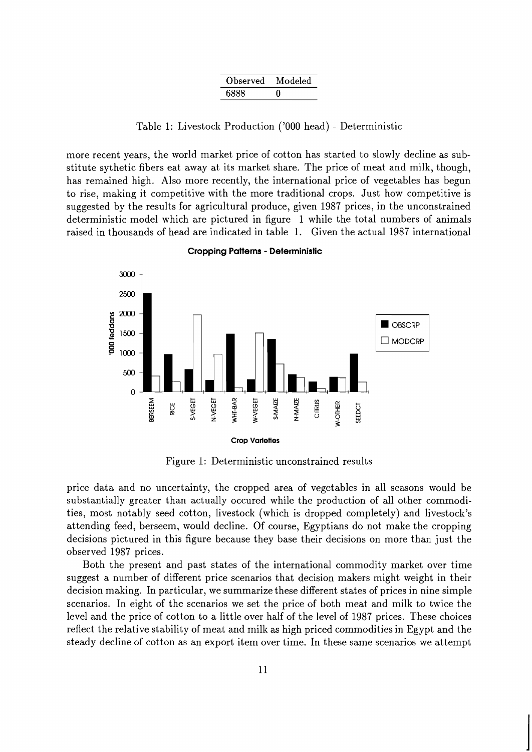| Modeled |
|---------|
|         |
|         |

Table 1: Livestock Production ('000 head) - Deterministic

more recent years, the world market price of cotton has started to slowly decline as substitute sythetic fibers eat away at its market share. The price of meat and milk, though, has remained high. Also more recently, the international price of vegetables has begun to rise, making it competitive with the more traditional crops. Just how competitive is suggested by the results for agricultural produce, given 1987 prices, in the unconstrained deterministic model which are pictured in figure 1 while the total numbers of animals raised in thousands of head are indicated in table 1. Given the actual 1987 international



**Cropping Patterns** - **Deterministic** 

Figure 1: Deterministic unconstrained results

price data and no uncertainty, the cropped area of vegetables in all seasons would be substantially greater than actually occured while the production of all other commodities, most notably seed cotton, livestock (which is dropped completely) and livestock's attending feed, berseem, would decline. Of course, Egyptians do not make the cropping decisions pictured in this figure because they base their decisions on more than just the observed 1987 prices.

Both the present and past states of the international commodity market over time suggest a number of different price scenarios that decision makers might weight in their decision making. In particular, we summarize these different states of prices in nine simple scenarios. In eight of the scenarios we set the price of both meat and milk to twice the level and the price of cotton to a little over half of the level of 1987 prices. These choices reflect the relative stability of meat and milk as high priced commodities in Egypt and the steady decline of cotton as an export item over time. In these same scenarios we attempt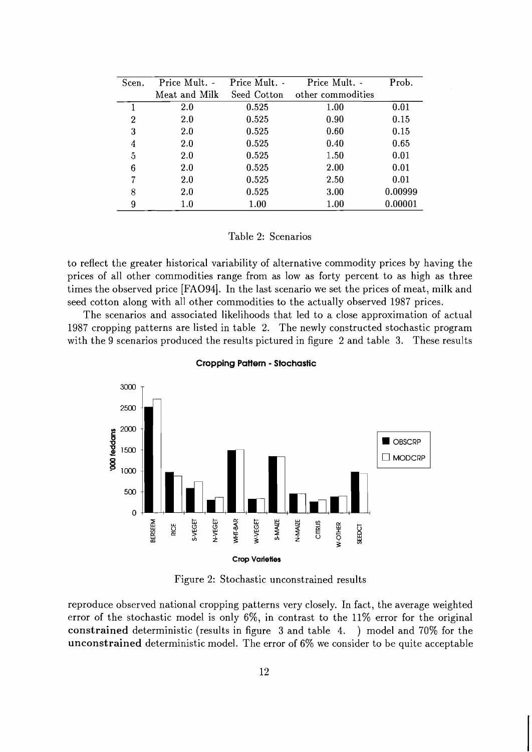| Scen. | Price Mult. - | Price Mult. - | Price Mult. -     | Prob.   |
|-------|---------------|---------------|-------------------|---------|
|       | Meat and Milk | Seed Cotton   | other commodities |         |
|       | <b>2.0</b>    | 0.525         | 1.00              | 0.01    |
| 2     | 2.0           | 0.525         | 0.90              | 0.15    |
| 3     | 2.0           | 0.525         | 0.60              | 0.15    |
| 4     | 2.0           | 0.525         | 0.40              | 0.65    |
| 5     | 2.0           | 0.525         | 1.50              | 0.01    |
| 6     | 2.0           | 0.525         | 2.00              | 0.01    |
| 7     | 2.0           | 0.525         | 2.50              | 0.01    |
| 8     | 2.0           | 0.525         | 3.00              | 0.00999 |
| 9     | $1.0\,$       | 1.00          | 1.00              | 0.00001 |

Table 2: Scenarios

to reflect the greater historical variability of alternative commodity prices by having the prices of all other commodities range from as low as forty percent to as high as three times the observed price [FA094]. In the last scenario we set the prices of meat, milk and seed cotton along with all other commodities to the actually observed 1987 prices.

The scenarios and associated likelihoods that led to a close approximation of actual 1987 cropping patterns are listed in table 2. The newly constructed stochastic program with the 9 scenarios produced the results pictured in figure 2 and table 3. These results



**Cropping Pattern** - **Stochastic** 

Figure 2: Stochastic unconstrained results

reproduce observed national cropping patterns very closely. In fact, the average weighted error of the stochastic model is only 6%, in contrast to the 11% error for the original constrained deterministic (results in figure 3 and table 4. ) model and 70% for the unconstrained deterministic model. The error of 6% we consider to be quite acceptable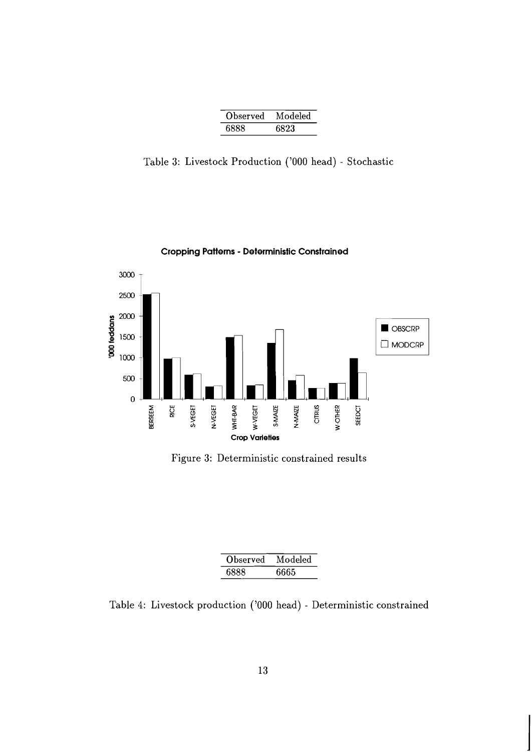| Observed | Modeled |
|----------|---------|
| 6888     | 6823    |

Table **3:** Livestock Production ('000 head) - Stochastic



**Cropping Patterns** - **Deterministic Constrained** 

Figure **3:** Deterministic constrained results

| Observed | Modeled |
|----------|---------|
| 6888     | 6665    |

Table 4: Livestock production ('000 head) - Deterministic constrained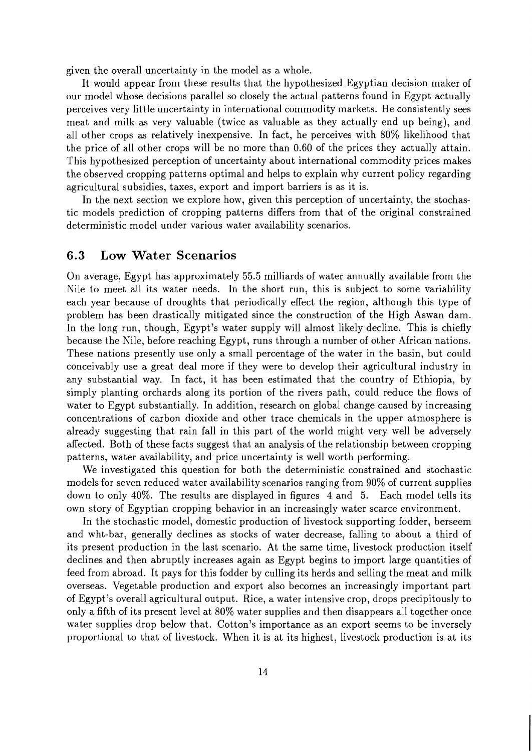given the overall uncertainty in the model as a whole.

It would appear from these results that the hypothesized Egyptian decision maker of our model whose decisions parallel so closely the actual patterns found in Egypt actually perceives very little uncertainty in international commodity markets. He consistently sees meat and milk as very valuable (twice as valuable as they actually end up being), and all other crops as relatively inexpensive. In fact, he perceives with 80% likelihood that the price of all other crops will be no more than 0.60 of the prices they actually attain. This hypothesized perception of uncertainty about international commodity prices makes the observed cropping patterns optimal and helps to explain why current policy regarding agricultural subsidies, taxes, export and import barriers is as it is.

In the next section we explore how, given this perception of uncertainty, the stochastic models prediction of cropping patterns differs from that of the original constrained deterministic model under various water availability scenarios.

#### **6.3 Low Water Scenarios**

On average, Egypt has approximately 55.5 milliards of water annually available from the Nile to meet all its water needs. In the short run, this is subject to some variability each year because of droughts that periodically effect the region, although this type of problem has been drastically mitigated since the construction of the High Aswan dam. In the long run, though, Egypt's water supply will almost likely decline. This is chiefly because the Nile, before reaching Egypt, runs through a number of other African nations. These nations presently use only a small percentage of the water in the basin, but could conceivably use a great deal more if they were to develop their agricultural industry in any substantial way. In fact, it has been estimated that the country of Ethiopia, by simply planting orchards along its portion of the rivers path, could reduce the flows of water to Egypt substantially. In addition, research on global change caused by increasing concentrations of carbon dioxide and other trace chemicals in the upper atmosphere is already suggesting that rain fall in this part of the world might very well be adversely affected. Both of these facts suggest that an analysis of the relationship between cropping patterns, water availability, and price uncertainty is well worth performing.

We investigated this question for both the deterministic constrained and stochastic models for seven reduced water availability scenarios ranging from 90% of current supplies down to only 40%. The results are displayed in figures 4 and 5. Each model tells its own story of Egyptian cropping behavior in an increasingly water scarce environment.

In the stochastic model, domestic production of livestock supporting fodder, berseem and wht-bar, generally declines as stocks of water decrease, falling to about a third of its present production in the last scenario. At the same time, livestock production itself declines and then abruptly increases again as Egypt begins to import large quantities of feed from abroad. It pays for this fodder by culling its herds and selling the meat and milk overseas. Vegetable production and export also becomes an increasingly important part of Egypt's overall agricultural output. Rice, a water intensive crop, drops precipitously to only a fifth of its present level at 80% water supplies and then disappears all together once water supplies drop below that. Cotton's importance as an export seems to be inversely proportional to that of livestock. When it is at its highest, livestock production is at its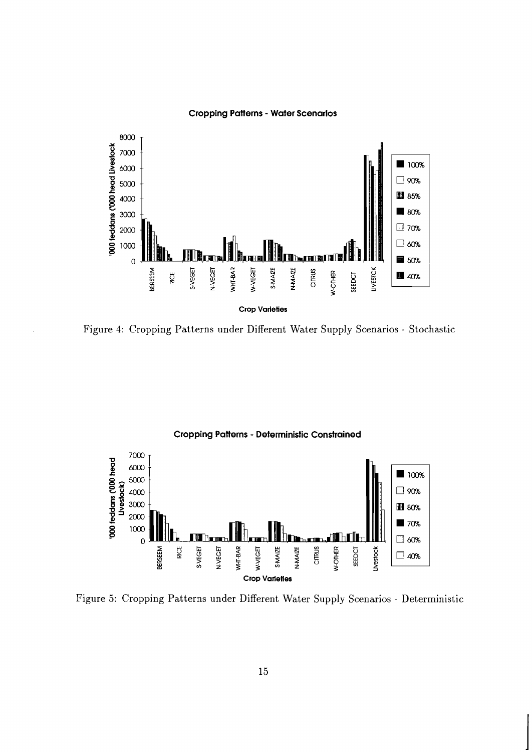

#### **Cropping Patterns - Water Scenarios**



Figure 5: Cropping Patterns under Different Water Supply Scenarios - Deterministic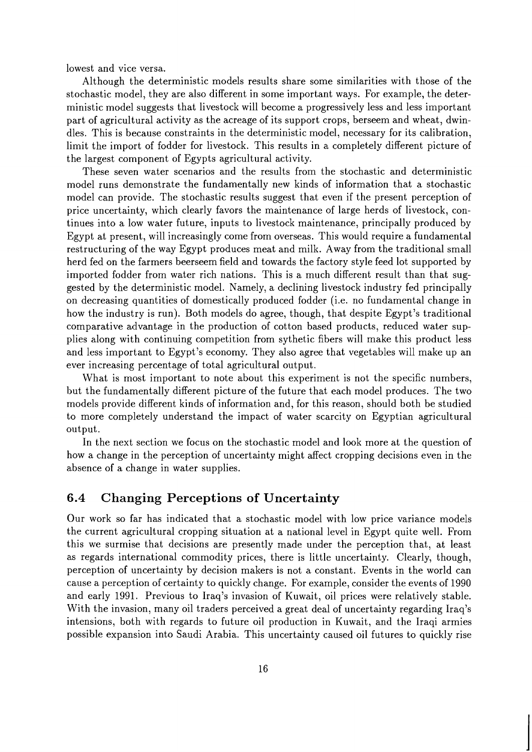lowest and vice versa.

Although the deterministic models results share some similarities with those of the stochastic model, they are also different in some important ways. For example, the deterministic model suggests that livestock will become a progressively less and less important part of agricultural activity as the acreage of its support crops, berseem and wheat, dwindles. This is because constraints in the deterministic model, necessary for its calibration, limit the import of fodder for livestock. This results in a completely different picture of the largest component of Egypts agricultural activity.

These seven water scenarios and the results from the stochastic and deterministic model runs demonstrate the fundamentally new kinds of information that a stochastic model can provide. The stochastic results suggest that even if the present perception of price uncertainty, which clearly favors the maintenance of large herds of livestock, continues into a low water future, inputs to livestock maintenance, principally produced by Egypt at present, will increasingly come from overseas. This would require a fundamental restructuring of the way Egypt produces meat and milk. Away from the traditional small herd fed on the farmers beerseem field and towards the factory style feed lot supported by imported fodder from water rich nations. This is a much different result than that suggested by the deterministic model. Namely, a declining livestock industry fed principally on decreasing quantities of domestically produced fodder (i.e. no fundamental change in how the industry is run). Both models do agree, though, that despite Egypt's traditional comparative advantage in the production of cotton based products, reduced water supplies along with continuing competition from sythetic fibers will make this product less and less important to Egypt's economy. They also agree that vegetables will make up an ever increasing percentage of total agricultural output.

What is most important to note about this experiment is not the specific numbers, but the fundamentally different picture of the future that each model produces. The two models provide different kinds of information and, for this reason, should both be studied to more completely understand the impact of water scarcity on Egyptian agricultural output.

In the next section we focus on the stochastic model and look more at the question of how a change in the perception of uncertainty might affect cropping decisions even in the absence of a change in water supplies.

#### **6.4 Changing Perceptions of Uncertainty**

Our work so far has indicated that a stochastic model with low price variance models the current agricultural cropping situation at a national level in Egypt quite well. From this we surmise that decisions are presently made under the perception that, at least as regards international commodity prices, there is little uncertainty. Clearly, though, perception of uncertainty by decision makers is not a constant. Events in the world can cause a perception of certainty to quickly change. For example, consider the events of 1990 and early 1991. Previous to Iraq's invasion of Kuwait, oil prices were relatively stable. With the invasion, many oil traders perceived a great deal of uncertainty regarding Iraq's intensions, both with regards to future oil production in Kuwait, and the Iraqi armies possible expansion into Saudi Arabia. This uncertainty caused oil futures to quickly rise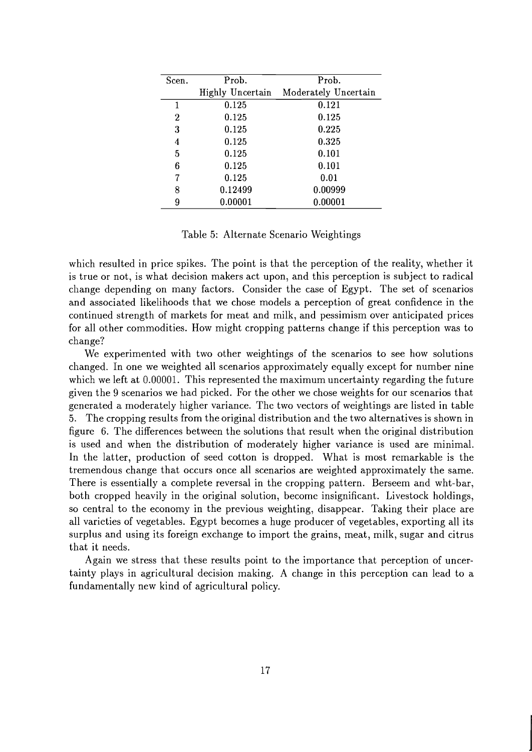| Scen. | Prob.            | Prob.                |
|-------|------------------|----------------------|
|       | Highly Uncertain | Moderately Uncertain |
|       | 0.125            | 0.121                |
| 2     | 0.125            | 0.125                |
| 3     | 0.125            | 0.225                |
| 4     | 0.125            | 0.325                |
| 5     | 0.125            | 0.101                |
| 6     | 0.125            | 0.101                |
| 7     | 0.125            | 0.01                 |
| 8     | 0.12499          | 0.00999              |
| 9     | 0.00001          | 0.00001              |

Table *5:* Alternate Scenario Weightings

which resulted in price spikes. The point is that the perception of the reality, whether it is true or not, is what decision makers act upon, and this perception is subject to radical change depending on many factors. Consider the case of Egypt. The set of scenarios and associated likelihoods that we chose models a perception of great confidence in the continued strength of markets for meat and milk, and pessimism over anticipated prices for all other commodities. How might cropping patterns change if this perception was to change?

We experimented with two other weightings of the scenarios to see how solutions changed. In one we weighted all scenarios approximately equally except for number nine which we left at 0.00001. This represented the maximum uncertainty regarding the future given the 9 scenarios we had picked. For the other we chose weights for our scenarios that generated a moderately higher variance. The two vectors of weightings are listed in table *5.* The cropping results from the original distribution and the two alternatives is shown in figure 6. The differences between the solutions that result when the original distribution is used and when the distribution of moderately higher variance is used are minimal. In the latter, production of seed cotton is dropped. What is most remarkable is the tremendous change that occurs once all scenarios are weighted approximately the same. There is essentially a complete reversal in the cropping pattern. Berseem and wht-bar, both cropped heavily in the original solution, become insignificant. Livestock holdings, so central to the economy in the previous weighting, disappear. Taking their place are all varieties of vegetables. Egypt becomes a huge producer of vegetables, exporting all its surplus and using its foreign exchange to import the grains, meat, milk, sugar and citrus that it needs.

Again we stress that these results point to the importance that perception of uncertainty plays in agricultural decision making. A change in this perception can lead to a fundamentally new kind of agricultural policy.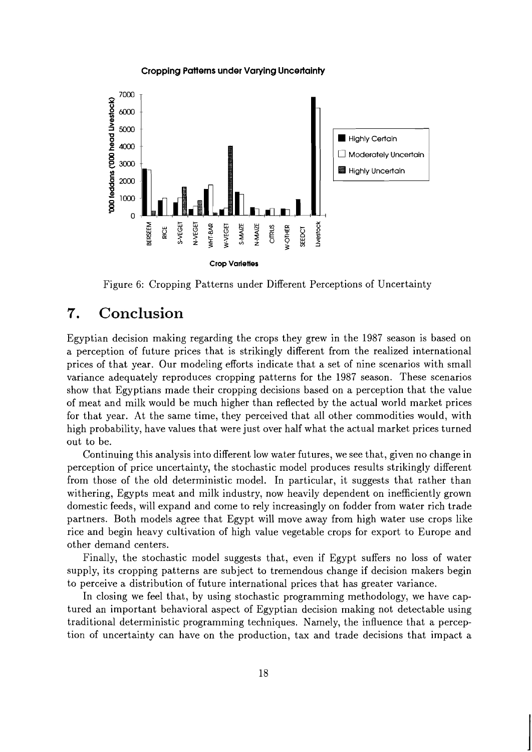#### **Cropping Patterns under Varying Uncertainty**



Figure 6: Cropping Patterns under Different Perceptions of Uncertainty

# **7. Conclusion**

Egyptian decision making regarding the crops they grew in the 1987 season is based on a perception of future prices that is strikingly different from the realized international prices of that year. Our modeling efforts indicate that a set of nine scenarios with small variance adequately reproduces cropping patterns for the 1987 season. These scenarios show that Egyptians made their cropping decisions based on a perception that the value of meat and milk would be much higher than reflected by the actual world market prices for that year. At the same time, they perceived that all other commodities would, with high probability, have values that were just over half what the actual market prices turned out to be.

Continuing this analysis into different low water futures, we see that, given no change in perception of price uncertainty, the stochastic model produces results strikingly different from those of the old deterministic model. In particular, it suggests that rather than withering, Egypts meat and milk industry, now heavily dependent on inefficiently grown domestic feeds, will expand and come to rely increasingly on fodder from water rich trade partners. Both models agree that Egypt will move away from high water use crops like rice and begin heavy cultivation of high value vegetable crops for export to Europe and other demand centers.

Finally, the stochastic model suggests that, even if Egypt suffers no loss of water supply, its cropping patterns are subject to tremendous change if decision makers begin to perceive a distribution of 'future international prices that has greater variance.

In closing we feel that, by using stochastic programming methodology, we have captured an important behavioral aspect of Egyptian decision making not detectable using traditional deterministic programming techniques. Namely, the influence that a perception of uncertainty can have on the production, tax and trade decisions that impact a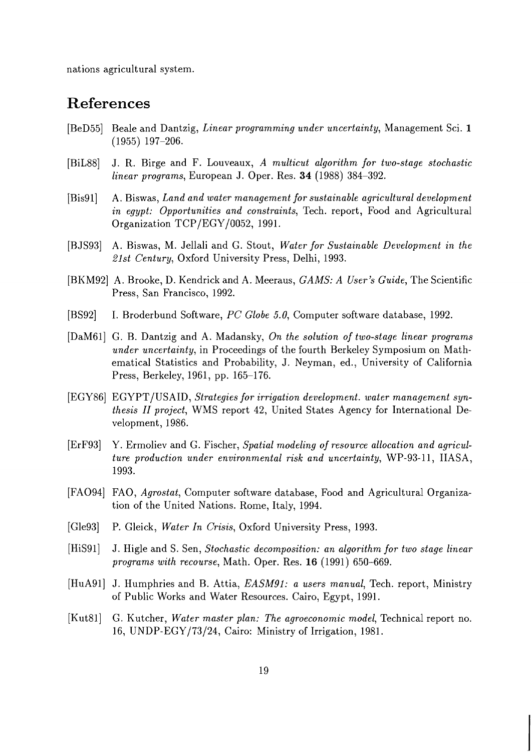nations agricultural system.

## **References**

- [BeD55] Beale and Dantzig, Linear programming under uncertainty, Management Sci. **1**  (1955) 197-206.
- [BiL88] J. R. Birge and F. Louveaux, A multicut algorithm for two-stage stochastic linear programs, European J. Oper. Res. 34 (1988) 384-392.
- [Bis91] A. Biswas, Land and water management for sustainable agricultural development in egypt: Opportunities and constraints, Tech. report, Food and Agricultural Organization TCP/EGY/0052, 1991.
- [BJS93] A. Biswas, M. Jellali and G. Stout, Water for Sustainable Development in the 21st Century, Oxford University Press, Delhi, 1993.
- [BKM92] A. Brooke, D. Kendrick and A. Meeraus, *GAMS: A User's Guide*, The Scientific Press, San Francisco, 1992.
- [BS92] I. Broderbund Software, PC Globe 5.0, Computer software database, 1992.
- [DaMGl] G. B. Dantzig and A. Madansky, On the solution of two-stage linear programs under uncertainty, in Proceedings of the fourth Berkeley Symposium on Mathematical Statistics and Probability, J. Neyman, ed., University of California Press, Berkeley, 1961, pp. 165–176.
- [EGY86] EGYPT/USAID, Strategies for irrigation development. water management synthesis 11 project, WMS report 42, United States Agency for International Development, 1986.
- [ErF93] Y. Ermoliev and G. Fischer, Spatial modeling of resource allocation and agriculture production under environmental risk and uncertainty, WP-93-11, IIASA, 1993.
- [FA0941 FAO, Agrostat, Computer software database, Food and Agricultural Organization of the United Nations. Rome, Italy, 1994.
- [Gle93] P. Gleick, Water In Crisis, Oxford University Press, 1993.
- [His911 J. Higle and S. Sen, Stochastic decomposition: an algorithm for two stage linear programs with recourse, Math. Oper. Res. **16** (1991) 650-669.
- [HuA91] J. Humphries and B. Attia, EASM91: a users manual, Tech. report, Ministry of Public Works and Water Resources. Cairo, Egypt, 1991.
- [Kut81] G. Kutcher, Water master plan: The agroeconomic model, Technical report no. 16, UNDP-EGY/73/24, Cairo: Ministry of Irrigation, 1981.